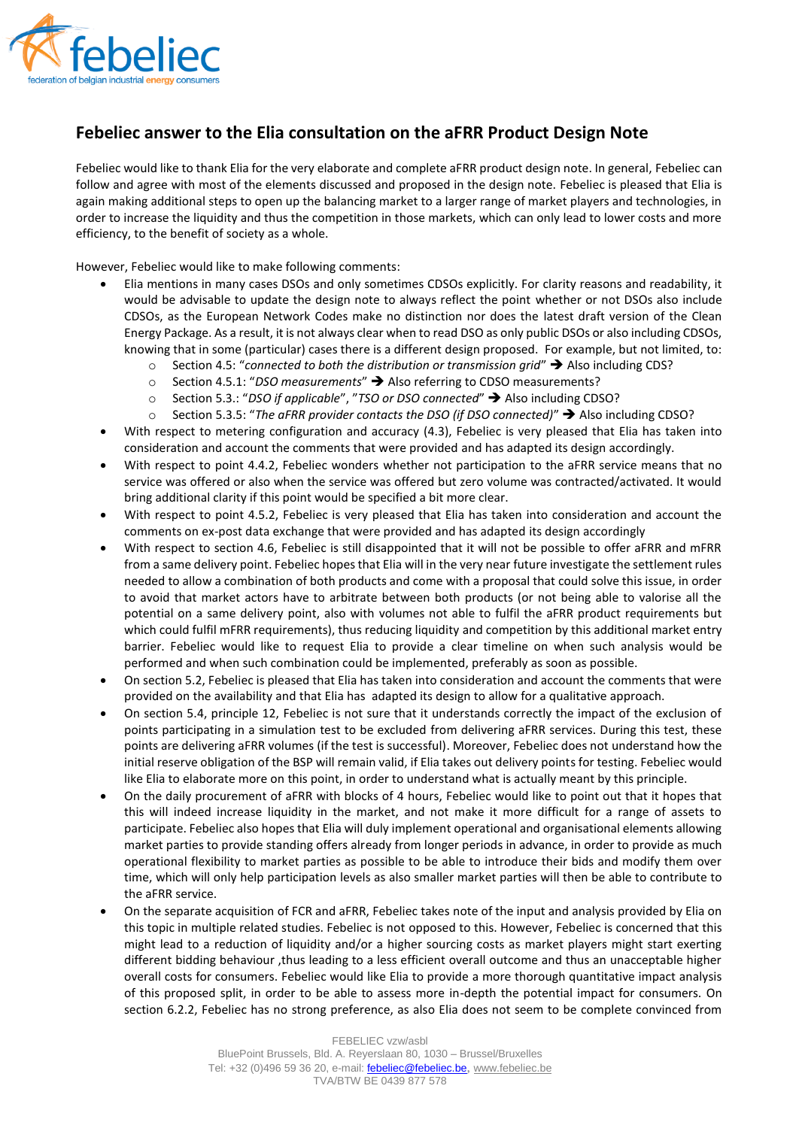

## **Febeliec answer to the Elia consultation on the aFRR Product Design Note**

Febeliec would like to thank Elia for the very elaborate and complete aFRR product design note. In general, Febeliec can follow and agree with most of the elements discussed and proposed in the design note. Febeliec is pleased that Elia is again making additional steps to open up the balancing market to a larger range of market players and technologies, in order to increase the liquidity and thus the competition in those markets, which can only lead to lower costs and more efficiency, to the benefit of society as a whole.

However, Febeliec would like to make following comments:

- Elia mentions in many cases DSOs and only sometimes CDSOs explicitly. For clarity reasons and readability, it would be advisable to update the design note to always reflect the point whether or not DSOs also include CDSOs, as the European Network Codes make no distinction nor does the latest draft version of the Clean Energy Package. As a result, it is not always clear when to read DSO as only public DSOs or also including CDSOs, knowing that in some (particular) cases there is a different design proposed. For example, but not limited, to:
	- o Section 4.5: "*connected to both the distribution or transmission grid*" Also including CDS?
	- o Section 4.5.1: "*DSO measurements*" Also referring to CDSO measurements?
	- o Section 5.3.: "*DSO if applicable*", "*TSO or DSO connected*" Also including CDSO?
	- o Section 5.3.5: "*The aFRR provider contacts the DSO (if DSO connected)*" Also including CDSO?
- With respect to metering configuration and accuracy (4.3), Febeliec is very pleased that Elia has taken into consideration and account the comments that were provided and has adapted its design accordingly.
- With respect to point 4.4.2, Febeliec wonders whether not participation to the aFRR service means that no service was offered or also when the service was offered but zero volume was contracted/activated. It would bring additional clarity if this point would be specified a bit more clear.
- With respect to point 4.5.2, Febeliec is very pleased that Elia has taken into consideration and account the comments on ex-post data exchange that were provided and has adapted its design accordingly
- With respect to section 4.6, Febeliec is still disappointed that it will not be possible to offer aFRR and mFRR from a same delivery point. Febeliec hopes that Elia will in the very near future investigate the settlement rules needed to allow a combination of both products and come with a proposal that could solve this issue, in order to avoid that market actors have to arbitrate between both products (or not being able to valorise all the potential on a same delivery point, also with volumes not able to fulfil the aFRR product requirements but which could fulfil mFRR requirements), thus reducing liquidity and competition by this additional market entry barrier. Febeliec would like to request Elia to provide a clear timeline on when such analysis would be performed and when such combination could be implemented, preferably as soon as possible.
- On section 5.2, Febeliec is pleased that Elia has taken into consideration and account the comments that were provided on the availability and that Elia has adapted its design to allow for a qualitative approach.
- On section 5.4, principle 12, Febeliec is not sure that it understands correctly the impact of the exclusion of points participating in a simulation test to be excluded from delivering aFRR services. During this test, these points are delivering aFRR volumes (if the test is successful). Moreover, Febeliec does not understand how the initial reserve obligation of the BSP will remain valid, if Elia takes out delivery points for testing. Febeliec would like Elia to elaborate more on this point, in order to understand what is actually meant by this principle.
- On the daily procurement of aFRR with blocks of 4 hours, Febeliec would like to point out that it hopes that this will indeed increase liquidity in the market, and not make it more difficult for a range of assets to participate. Febeliec also hopes that Elia will duly implement operational and organisational elements allowing market parties to provide standing offers already from longer periods in advance, in order to provide as much operational flexibility to market parties as possible to be able to introduce their bids and modify them over time, which will only help participation levels as also smaller market parties will then be able to contribute to the aFRR service.
- On the separate acquisition of FCR and aFRR, Febeliec takes note of the input and analysis provided by Elia on this topic in multiple related studies. Febeliec is not opposed to this. However, Febeliec is concerned that this might lead to a reduction of liquidity and/or a higher sourcing costs as market players might start exerting different bidding behaviour ,thus leading to a less efficient overall outcome and thus an unacceptable higher overall costs for consumers. Febeliec would like Elia to provide a more thorough quantitative impact analysis of this proposed split, in order to be able to assess more in-depth the potential impact for consumers. On section 6.2.2, Febeliec has no strong preference, as also Elia does not seem to be complete convinced from